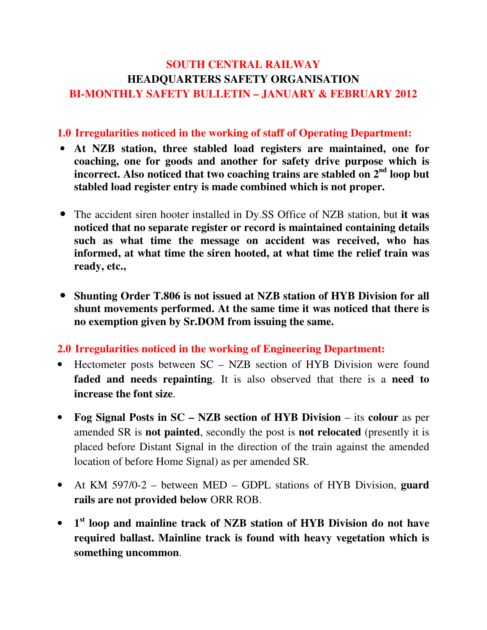## SOUTH CENTRAL RAILWAY HEADQUARTERS SAFETY ORGANISATION BI-MONTHLY SAFETY BULLETIN – JANUARY & FEBRUARY 2012

#### 1.0 Irregularities noticed in the working of staff of Operating Department:

- At NZB station, three stabled load registers are maintained, one for coaching, one for goods and another for safety drive purpose which is incorrect. Also noticed that two coaching trains are stabled on 2<sup>nd</sup> loop but stabled load register entry is made combined which is not proper.
- The accident siren hooter installed in Dy.SS Office of NZB station, but it was noticed that no separate register or record is maintained containing details such as what time the message on accident was received, who has informed, at what time the siren hooted, at what time the relief train was ready, etc.,
- Shunting Order T.806 is not issued at NZB station of HYB Division for all shunt movements performed. At the same time it was noticed that there is no exemption given by Sr.DOM from issuing the same.

2.0 Irregularities noticed in the working of Engineering Department:

- Hectometer posts between  $SC NZB$  section of HYB Division were found faded and needs repainting. It is also observed that there is a need to increase the font size.
- Fog Signal Posts in SC NZB section of HYB Division its colour as per amended SR is not painted, secondly the post is not relocated (presently it is placed before Distant Signal in the direction of the train against the amended location of before Home Signal) as per amended SR.
- At KM 597/0-2 between MED GDPL stations of HYB Division, guard rails are not provided below ORR ROB.
- 1<sup>st</sup> loop and mainline track of NZB station of HYB Division do not have required ballast. Mainline track is found with heavy vegetation which is something uncommon.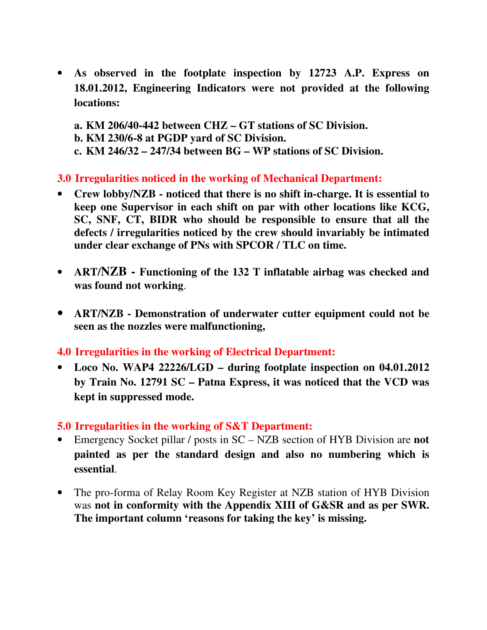- As observed in the footplate inspection by 12723 A.P. Express on 18.01.2012, Engineering Indicators were not provided at the following locations:
	- a. KM 206/40-442 between CHZ GT stations of SC Division. b. KM 230/6-8 at PGDP yard of SC Division.
	- c. KM 246/32 247/34 between BG WP stations of SC Division.

3.0 Irregularities noticed in the working of Mechanical Department:

- Crew lobby/NZB noticed that there is no shift in-charge. It is essential to keep one Supervisor in each shift on par with other locations like KCG, SC, SNF, CT, BIDR who should be responsible to ensure that all the defects / irregularities noticed by the crew should invariably be intimated under clear exchange of PNs with SPCOR / TLC on time.
- ART/NZB Functioning of the 132 T inflatable airbag was checked and was found not working.
- ART/NZB Demonstration of underwater cutter equipment could not be seen as the nozzles were malfunctioning,

4.0 Irregularities in the working of Electrical Department:

• Loco No. WAP4 22226/LGD – during footplate inspection on 04.01.2012 by Train No. 12791 SC – Patna Express, it was noticed that the VCD was kept in suppressed mode.

### 5.0 Irregularities in the working of S&T Department:

- Emergency Socket pillar / posts in SC NZB section of HYB Division are **not** painted as per the standard design and also no numbering which is essential.
- The pro-forma of Relay Room Key Register at NZB station of HYB Division was not in conformity with the Appendix XIII of G&SR and as per SWR. The important column 'reasons for taking the key' is missing.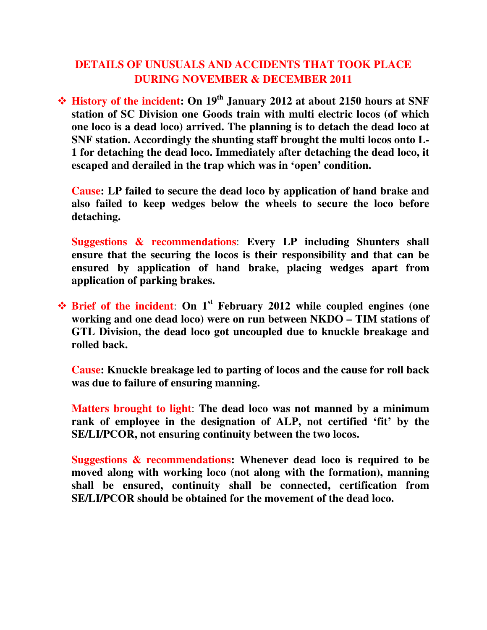## DETAILS OF UNUSUALS AND ACCIDENTS THAT TOOK PLACE DURING NOVEMBER & DECEMBER 2011

 $\div$  History of the incident: On 19<sup>th</sup> January 2012 at about 2150 hours at SNF station of SC Division one Goods train with multi electric locos (of which one loco is a dead loco) arrived. The planning is to detach the dead loco at SNF station. Accordingly the shunting staff brought the multi locos onto L-1 for detaching the dead loco. Immediately after detaching the dead loco, it escaped and derailed in the trap which was in 'open' condition.

Cause: LP failed to secure the dead loco by application of hand brake and also failed to keep wedges below the wheels to secure the loco before detaching.

Suggestions & recommendations: Every LP including Shunters shall ensure that the securing the locos is their responsibility and that can be ensured by application of hand brake, placing wedges apart from application of parking brakes.

 $\div$  Brief of the incident: On 1<sup>st</sup> February 2012 while coupled engines (one working and one dead loco) were on run between NKDO – TIM stations of GTL Division, the dead loco got uncoupled due to knuckle breakage and rolled back.

Cause: Knuckle breakage led to parting of locos and the cause for roll back was due to failure of ensuring manning.

Matters brought to light: The dead loco was not manned by a minimum rank of employee in the designation of ALP, not certified 'fit' by the SE/LI/PCOR, not ensuring continuity between the two locos.

Suggestions & recommendations: Whenever dead loco is required to be moved along with working loco (not along with the formation), manning shall be ensured, continuity shall be connected, certification from SE/LI/PCOR should be obtained for the movement of the dead loco.